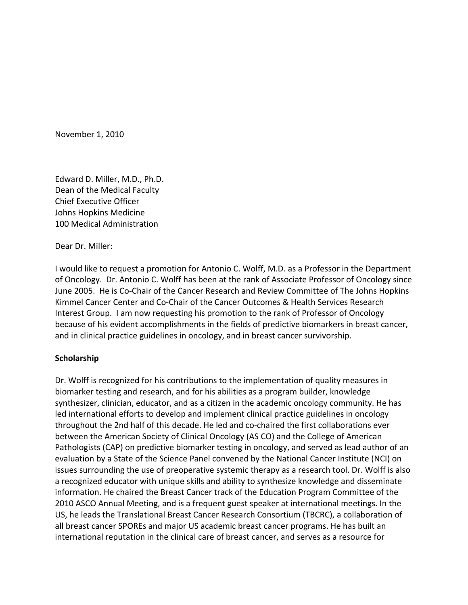November 1, 2010

Edward D. Miller, M.D., Ph.D. Dean of the Medical Faculty Chief Executive Officer Johns Hopkins Medicine 100 Medical Administration

Dear Dr. Miller:

I would like to request a promotion for Antonio C. Wolff, M.D. as a Professor in the Department of Oncology. Dr. Antonio C. Wolff has been at the rank of Associate Professor of Oncology since June 2005. He is Co‐Chair of the Cancer Research and Review Committee of The Johns Hopkins Kimmel Cancer Center and Co‐Chair of the Cancer Outcomes & Health Services Research Interest Group. I am now requesting his promotion to the rank of Professor of Oncology because of his evident accomplishments in the fields of predictive biomarkers in breast cancer, and in clinical practice guidelines in oncology, and in breast cancer survivorship.

# **Scholarship**

Dr. Wolff is recognized for his contributions to the implementation of quality measures in biomarker testing and research, and for his abilities as a program builder, knowledge synthesizer, clinician, educator, and as a citizen in the academic oncology community. He has led international efforts to develop and implement clinical practice guidelines in oncology throughout the 2nd half of this decade. He led and co‐chaired the first collaborations ever between the American Society of Clinical Oncology (AS CO) and the College of American Pathologists (CAP) on predictive biomarker testing in oncology, and served as lead author of an evaluation by a State of the Science Panel convened by the National Cancer Institute (NCI) on issues surrounding the use of preoperative systemic therapy as a research tool. Dr. Wolff is also a recognized educator with unique skills and ability to synthesize knowledge and disseminate information. He chaired the Breast Cancer track of the Education Program Committee of the 2010 ASCO Annual Meeting, and is a frequent guest speaker at international meetings. In the US, he leads the Translational Breast Cancer Research Consortium (TBCRC), a collaboration of all breast cancer SPOREs and major US academic breast cancer programs. He has built an international reputation in the clinical care of breast cancer, and serves as a resource for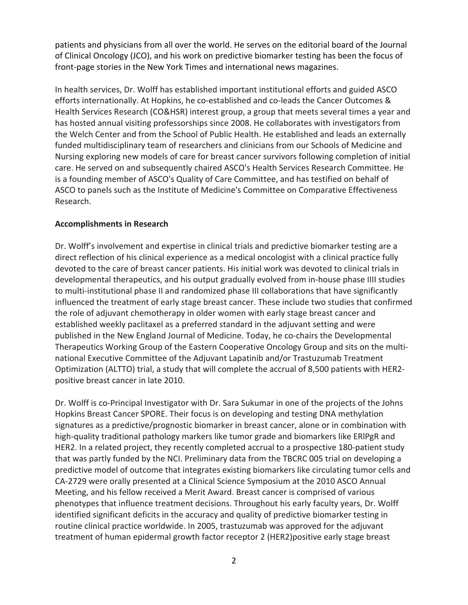patients and physicians from all over the world. He serves on the editorial board of the Journal of Clinical Oncology (JCO), and his work on predictive biomarker testing has been the focus of front-page stories in the New York Times and international news magazines.

In health services, Dr. Wolff has established important institutional efforts and guided ASCO efforts internationally. At Hopkins, he co-established and co-leads the Cancer Outcomes & Health Services Research (CO&HSR) interest group, a group that meets several times a year and has hosted annual visiting professorships since 2008. He collaborates with investigators from the Welch Center and from the School of Public Health. He established and leads an externally funded multidisciplinary team of researchers and clinicians from our Schools of Medicine and Nursing exploring new models of care for breast cancer survivors following completion of initial care. He served on and subsequently chaired ASCO's Health Services Research Committee. He is a founding member of ASCO's Quality of Care Committee, and has testified on behalf of ASCO to panels such as the Institute of Medicine's Committee on Comparative Effectiveness Research.

# **Accomplishments in Research**

Dr. Wolff's involvement and expertise in clinical trials and predictive biomarker testing are a direct reflection of his clinical experience as a medical oncologist with a clinical practice fully devoted to the care of breast cancer patients. His initial work was devoted to clinical trials in developmental therapeutics, and his output gradually evolved from in‐house phase IIII studies to multi-institutional phase II and randomized phase III collaborations that have significantly influenced the treatment of early stage breast cancer. These include two studies that confirmed the role of adjuvant chemotherapy in older women with early stage breast cancer and established weekly paclitaxel as a preferred standard in the adjuvant setting and were published in the New England Journal of Medicine. Today, he co-chairs the Developmental Therapeutics Working Group of the Eastern Cooperative Oncology Group and sits on the multi‐ national Executive Committee of the Adjuvant Lapatinib and/or Trastuzumab Treatment Optimization (ALTTO) trial, a study that will complete the accrual of 8,500 patients with HER2‐ positive breast cancer in late 2010.

Dr. Wolff is co‐Principal Investigator with Dr. Sara Sukumar in one of the projects of the Johns Hopkins Breast Cancer SPORE. Their focus is on developing and testing DNA methylation signatures as a predictive/prognostic biomarker in breast cancer, alone or in combination with high-quality traditional pathology markers like tumor grade and biomarkers like ERIPgR and HER2. In a related project, they recently completed accrual to a prospective 180‐patient study that was partly funded by the NCI. Preliminary data from the TBCRC 005 trial on developing a predictive model of outcome that integrates existing biomarkers like circulating tumor cells and CA‐2729 were orally presented at a Clinical Science Symposium at the 2010 ASCO Annual Meeting, and his fellow received a Merit Award. Breast cancer is comprised of various phenotypes that influence treatment decisions. Throughout his early faculty years, Dr. Wolff identified significant deficits in the accuracy and quality of predictive biomarker testing in routine clinical practice worldwide. In 2005, trastuzumab was approved for the adjuvant treatment of human epidermal growth factor receptor 2 (HER2)positive early stage breast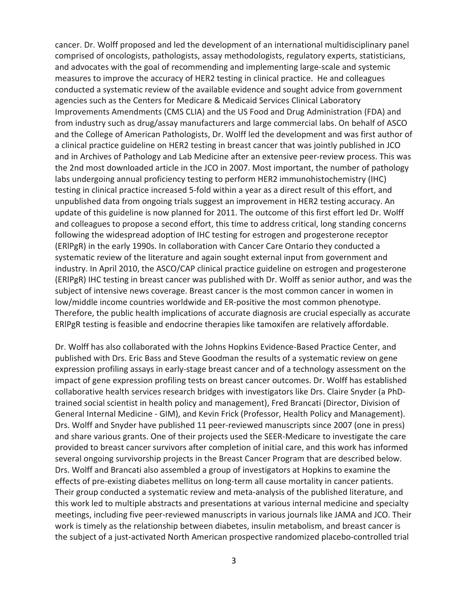cancer. Dr. Wolff proposed and led the development of an international multidisciplinary panel comprised of oncologists, pathologists, assay methodologists, regulatory experts, statisticians, and advocates with the goal of recommending and implementing large‐scale and systemic measures to improve the accuracy of HER2 testing in clinical practice. He and colleagues conducted a systematic review of the available evidence and sought advice from government agencies such as the Centers for Medicare & Medicaid Services Clinical Laboratory Improvements Amendments (CMS CLIA) and the US Food and Drug Administration (FDA) and from industry such as drug/assay manufacturers and large commercial labs. On behalf of ASCO and the College of American Pathologists, Dr. Wolff led the development and was first author of a clinical practice guideline on HER2 testing in breast cancer that was jointly published in JCO and in Archives of Pathology and Lab Medicine after an extensive peer-review process. This was the 2nd most downloaded article in the JCO in 2007. Most important, the number of pathology labs undergoing annual proficiency testing to perform HER2 immunohistochemistry (IHC) testing in clinical practice increased 5‐fold within a year as a direct result of this effort, and unpublished data from ongoing trials suggest an improvement in HER2 testing accuracy. An update of this guideline is now planned for 2011. The outcome of this first effort led Dr. Wolff and colleagues to propose a second effort, this time to address critical, long standing concerns following the widespread adoption of IHC testing for estrogen and progesterone receptor (ERlPgR) in the early 1990s. In collaboration with Cancer Care Ontario they conducted a systematic review of the literature and again sought external input from government and industry. In April 2010, the ASCO/CAP clinical practice guideline on estrogen and progesterone (ERlPgR) IHC testing in breast cancer was published with Dr. Wolff as senior author, and was the subject of intensive news coverage. Breast cancer is the most common cancer in women in low/middle income countries worldwide and ER‐positive the most common phenotype. Therefore, the public health implications of accurate diagnosis are crucial especially as accurate ERlPgR testing is feasible and endocrine therapies like tamoxifen are relatively affordable.

Dr. Wolff has also collaborated with the Johns Hopkins Evidence‐Based Practice Center, and published with Drs. Eric Bass and Steve Goodman the results of a systematic review on gene expression profiling assays in early‐stage breast cancer and of a technology assessment on the impact of gene expression profiling tests on breast cancer outcomes. Dr. Wolff has established collaborative health services research bridges with investigators like Drs. Claire Snyder (a PhD‐ trained social scientist in health policy and management), Fred Brancati (Director, Division of General Internal Medicine ‐ GIM), and Kevin Frick (Professor, Health Policy and Management). Drs. Wolff and Snyder have published 11 peer‐reviewed manuscripts since 2007 (one in press) and share various grants. One of their projects used the SEER‐Medicare to investigate the care provided to breast cancer survivors after completion of initial care, and this work has informed several ongoing survivorship projects in the Breast Cancer Program that are described below. Drs. Wolff and Brancati also assembled a group of investigators at Hopkins to examine the effects of pre‐existing diabetes mellitus on long‐term all cause mortality in cancer patients. Their group conducted a systematic review and meta‐analysis of the published literature, and this work led to multiple abstracts and presentations at various internal medicine and specialty meetings, including five peer‐reviewed manuscripts in various journals like JAMA and JCO. Their work is timely as the relationship between diabetes, insulin metabolism, and breast cancer is the subject of a just‐activated North American prospective randomized placebo‐controlled trial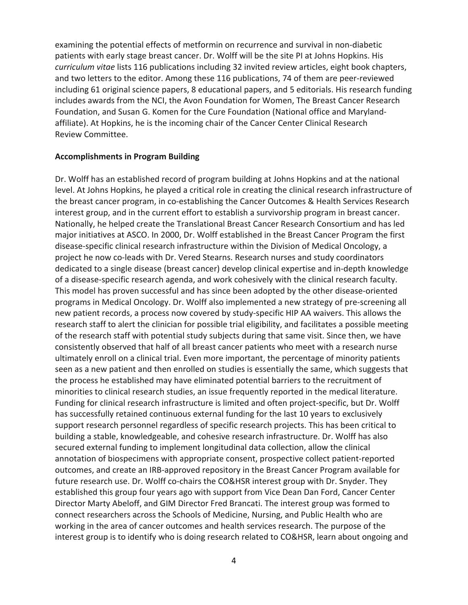examining the potential effects of metformin on recurrence and survival in non-diabetic patients with early stage breast cancer. Dr. Wolff will be the site PI at Johns Hopkins. His *curriculum vitae* lists 116 publications including 32 invited review articles, eight book chapters, and two letters to the editor. Among these 116 publications, 74 of them are peer-reviewed including 61 original science papers, 8 educational papers, and 5 editorials. His research funding includes awards from the NCI, the Avon Foundation for Women, The Breast Cancer Research Foundation, and Susan G. Komen for the Cure Foundation (National office and Maryland‐ affiliate). At Hopkins, he is the incoming chair of the Cancer Center Clinical Research Review Committee.

### **Accomplishments in Program Building**

Dr. Wolff has an established record of program building at Johns Hopkins and at the national level. At Johns Hopkins, he played a critical role in creating the clinical research infrastructure of the breast cancer program, in co‐establishing the Cancer Outcomes & Health Services Research interest group, and in the current effort to establish a survivorship program in breast cancer. Nationally, he helped create the Translational Breast Cancer Research Consortium and has led major initiatives at ASCO. In 2000, Dr. Wolff established in the Breast Cancer Program the first disease‐specific clinical research infrastructure within the Division of Medical Oncology, a project he now co‐leads with Dr. Vered Stearns. Research nurses and study coordinators dedicated to a single disease (breast cancer) develop clinical expertise and in‐depth knowledge of a disease‐specific research agenda, and work cohesively with the clinical research faculty. This model has proven successful and has since been adopted by the other disease‐oriented programs in Medical Oncology. Dr. Wolff also implemented a new strategy of pre‐screening all new patient records, a process now covered by study‐specific HIP AA waivers. This allows the research staff to alert the clinician for possible trial eligibility, and facilitates a possible meeting of the research staff with potential study subjects during that same visit. Since then, we have consistently observed that half of all breast cancer patients who meet with a research nurse ultimately enroll on a clinical trial. Even more important, the percentage of minority patients seen as a new patient and then enrolled on studies is essentially the same, which suggests that the process he established may have eliminated potential barriers to the recruitment of minorities to clinical research studies, an issue frequently reported in the medical literature. Funding for clinical research infrastructure is limited and often project-specific, but Dr. Wolff has successfully retained continuous external funding for the last 10 years to exclusively support research personnel regardless of specific research projects. This has been critical to building a stable, knowledgeable, and cohesive research infrastructure. Dr. Wolff has also secured external funding to implement longitudinal data collection, allow the clinical annotation of biospecimens with appropriate consent, prospective collect patient‐reported outcomes, and create an IRB‐approved repository in the Breast Cancer Program available for future research use. Dr. Wolff co-chairs the CO&HSR interest group with Dr. Snyder. They established this group four years ago with support from Vice Dean Dan Ford, Cancer Center Director Marty Abeloff, and GIM Director Fred Brancati. The interest group was formed to connect researchers across the Schools of Medicine, Nursing, and Public Health who are working in the area of cancer outcomes and health services research. The purpose of the interest group is to identify who is doing research related to CO&HSR, learn about ongoing and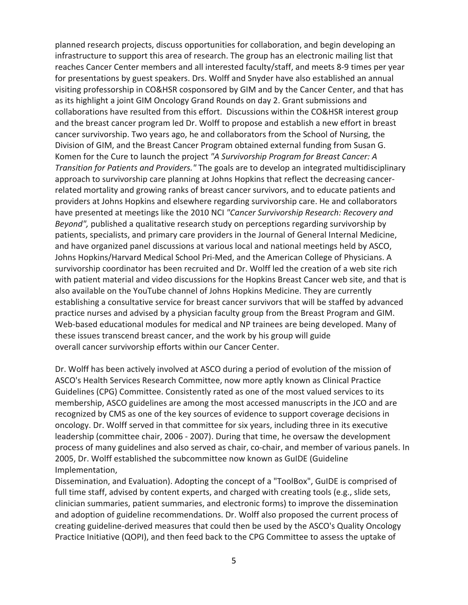planned research projects, discuss opportunities for collaboration, and begin developing an infrastructure to support this area of research. The group has an electronic mailing list that reaches Cancer Center members and all interested faculty/staff, and meets 8‐9 times per year for presentations by guest speakers. Drs. Wolff and Snyder have also established an annual visiting professorship in CO&HSR cosponsored by GIM and by the Cancer Center, and that has as its highlight a joint GIM Oncology Grand Rounds on day 2. Grant submissions and collaborations have resulted from this effort. Discussions within the CO&HSR interest group and the breast cancer program led Dr. Wolff to propose and establish a new effort in breast cancer survivorship. Two years ago, he and collaborators from the School of Nursing, the Division of GIM, and the Breast Cancer Program obtained external funding from Susan G. Komen for the Cure to launch the project *"A Survivorship Program for Breast Cancer: A Transition for Patients and Providers."* The goals are to develop an integrated multidisciplinary approach to survivorship care planning at Johns Hopkins that reflect the decreasing cancer‐ related mortality and growing ranks of breast cancer survivors, and to educate patients and providers at Johns Hopkins and elsewhere regarding survivorship care. He and collaborators have presented at meetings like the 2010 NCI *"Cancer Survivorship Research: Recovery and Beyond",* published a qualitative research study on perceptions regarding survivorship by patients, specialists, and primary care providers in the Journal of General Internal Medicine, and have organized panel discussions at various local and national meetings held by ASCO, Johns Hopkins/Harvard Medical School Pri‐Med, and the American College of Physicians. A survivorship coordinator has been recruited and Dr. Wolff led the creation of a web site rich with patient material and video discussions for the Hopkins Breast Cancer web site, and that is also available on the YouTube channel of Johns Hopkins Medicine. They are currently establishing a consultative service for breast cancer survivors that will be staffed by advanced practice nurses and advised by a physician faculty group from the Breast Program and GIM. Web-based educational modules for medical and NP trainees are being developed. Many of these issues transcend breast cancer, and the work by his group will guide overall cancer survivorship efforts within our Cancer Center.

Dr. Wolff has been actively involved at ASCO during a period of evolution of the mission of ASCO's Health Services Research Committee, now more aptly known as Clinical Practice Guidelines (CPG) Committee. Consistently rated as one of the most valued services to its membership, ASCO guidelines are among the most accessed manuscripts in the JCO and are recognized by CMS as one of the key sources of evidence to support coverage decisions in oncology. Dr. Wolff served in that committee for six years, including three in its executive leadership (committee chair, 2006 ‐ 2007). During that time, he oversaw the development process of many guidelines and also served as chair, co‐chair, and member of various panels. In 2005, Dr. Wolff established the subcommittee now known as GuIDE (Guideline Implementation,

Dissemination, and Evaluation). Adopting the concept of a "ToolBox", GuIDE is comprised of full time staff, advised by content experts, and charged with creating tools (e.g., slide sets, clinician summaries, patient summaries, and electronic forms) to improve the dissemination and adoption of guideline recommendations. Dr. Wolff also proposed the current process of creating guideline‐derived measures that could then be used by the ASCO's Quality Oncology Practice Initiative (QOPI), and then feed back to the CPG Committee to assess the uptake of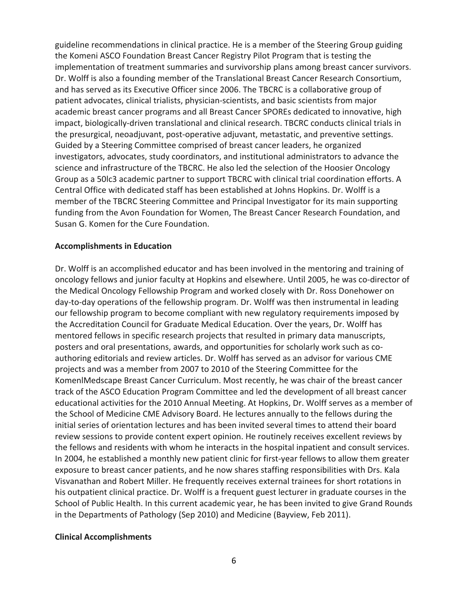guideline recommendations in clinical practice. He is a member of the Steering Group guiding the Komeni ASCO Foundation Breast Cancer Registry Pilot Program that is testing the implementation of treatment summaries and survivorship plans among breast cancer survivors. Dr. Wolff is also a founding member of the Translational Breast Cancer Research Consortium, and has served as its Executive Officer since 2006. The TBCRC is a collaborative group of patient advocates, clinical trialists, physician‐scientists, and basic scientists from major academic breast cancer programs and all Breast Cancer SPOREs dedicated to innovative, high impact, biologically‐driven translational and clinical research. TBCRC conducts clinical trials in the presurgical, neoadjuvant, post‐operative adjuvant, metastatic, and preventive settings. Guided by a Steering Committee comprised of breast cancer leaders, he organized investigators, advocates, study coordinators, and institutional administrators to advance the science and infrastructure of the TBCRC. He also led the selection of the Hoosier Oncology Group as a 50lc3 academic partner to support TBCRC with clinical trial coordination efforts. A Central Office with dedicated staff has been established at Johns Hopkins. Dr. Wolff is a member of the TBCRC Steering Committee and Principal Investigator for its main supporting funding from the Avon Foundation for Women, The Breast Cancer Research Foundation, and Susan G. Komen for the Cure Foundation.

## **Accomplishments in Education**

Dr. Wolff is an accomplished educator and has been involved in the mentoring and training of oncology fellows and junior faculty at Hopkins and elsewhere. Until 2005, he was co‐director of the Medical Oncology Fellowship Program and worked closely with Dr. Ross Donehower on day-to-day operations of the fellowship program. Dr. Wolff was then instrumental in leading our fellowship program to become compliant with new regulatory requirements imposed by the Accreditation Council for Graduate Medical Education. Over the years, Dr. Wolff has mentored fellows in specific research projects that resulted in primary data manuscripts, posters and oral presentations, awards, and opportunities for scholarly work such as co‐ authoring editorials and review articles. Dr. Wolff has served as an advisor for various CME projects and was a member from 2007 to 2010 of the Steering Committee for the KomenlMedscape Breast Cancer Curriculum. Most recently, he was chair of the breast cancer track of the ASCO Education Program Committee and led the development of all breast cancer educational activities for the 2010 Annual Meeting. At Hopkins, Dr. Wolff serves as a member of the School of Medicine CME Advisory Board. He lectures annually to the fellows during the initial series of orientation lectures and has been invited several times to attend their board review sessions to provide content expert opinion. He routinely receives excellent reviews by the fellows and residents with whom he interacts in the hospital inpatient and consult services. In 2004, he established a monthly new patient clinic for first-year fellows to allow them greater exposure to breast cancer patients, and he now shares staffing responsibilities with Drs. Kala Visvanathan and Robert Miller. He frequently receives external trainees for short rotations in his outpatient clinical practice. Dr. Wolff is a frequent guest lecturer in graduate courses in the School of Public Health. In this current academic year, he has been invited to give Grand Rounds in the Departments of Pathology (Sep 2010) and Medicine (Bayview, Feb 2011).

# **Clinical Accomplishments**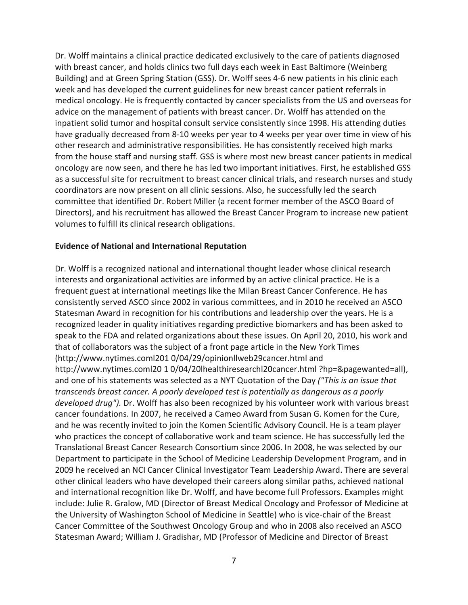Dr. Wolff maintains a clinical practice dedicated exclusively to the care of patients diagnosed with breast cancer, and holds clinics two full days each week in East Baltimore (Weinberg Building) and at Green Spring Station (GSS). Dr. Wolff sees 4‐6 new patients in his clinic each week and has developed the current guidelines for new breast cancer patient referrals in medical oncology. He is frequently contacted by cancer specialists from the US and overseas for advice on the management of patients with breast cancer. Dr. Wolff has attended on the inpatient solid tumor and hospital consult service consistently since 1998. His attending duties have gradually decreased from 8‐10 weeks per year to 4 weeks per year over time in view of his other research and administrative responsibilities. He has consistently received high marks from the house staff and nursing staff. GSS is where most new breast cancer patients in medical oncology are now seen, and there he has led two important initiatives. First, he established GSS as a successful site for recruitment to breast cancer clinical trials, and research nurses and study coordinators are now present on all clinic sessions. Also, he successfully led the search committee that identified Dr. Robert Miller (a recent former member of the ASCO Board of Directors), and his recruitment has allowed the Breast Cancer Program to increase new patient volumes to fulfill its clinical research obligations.

## **Evidence of National and International Reputation**

Dr. Wolff is a recognized national and international thought leader whose clinical research interests and organizational activities are informed by an active clinical practice. He is a frequent guest at international meetings like the Milan Breast Cancer Conference. He has consistently served ASCO since 2002 in various committees, and in 2010 he received an ASCO Statesman Award in recognition for his contributions and leadership over the years. He is a recognized leader in quality initiatives regarding predictive biomarkers and has been asked to speak to the FDA and related organizations about these issues. On April 20, 2010, his work and that of collaborators was the subject of a front page article in the New York Times (http://www.nytimes.coml201 0/04/29/opinionllweb29cancer.html and http://www.nytimes.coml20 1 0/04/20lhealthiresearchl20cancer.html ?hp=&pagewanted=all), and one of his statements was selected as a NYT Quotation of the Day *("This is an issue that transcends breast cancer. A poorly developed test is potentially as dangerous as a poorly developed drug").* Dr. Wolff has also been recognized by his volunteer work with various breast cancer foundations. In 2007, he received a Cameo Award from Susan G. Komen for the Cure, and he was recently invited to join the Komen Scientific Advisory Council. He is a team player who practices the concept of collaborative work and team science. He has successfully led the Translational Breast Cancer Research Consortium since 2006. In 2008, he was selected by our Department to participate in the School of Medicine Leadership Development Program, and in 2009 he received an NCI Cancer Clinical Investigator Team Leadership Award. There are several other clinical leaders who have developed their careers along similar paths, achieved national and international recognition like Dr. Wolff, and have become full Professors. Examples might include: Julie R. Gralow, MD (Director of Breast Medical Oncology and Professor of Medicine at the University of Washington School of Medicine in Seattle) who is vice‐chair of the Breast Cancer Committee of the Southwest Oncology Group and who in 2008 also received an ASCO Statesman Award; William J. Gradishar, MD (Professor of Medicine and Director of Breast